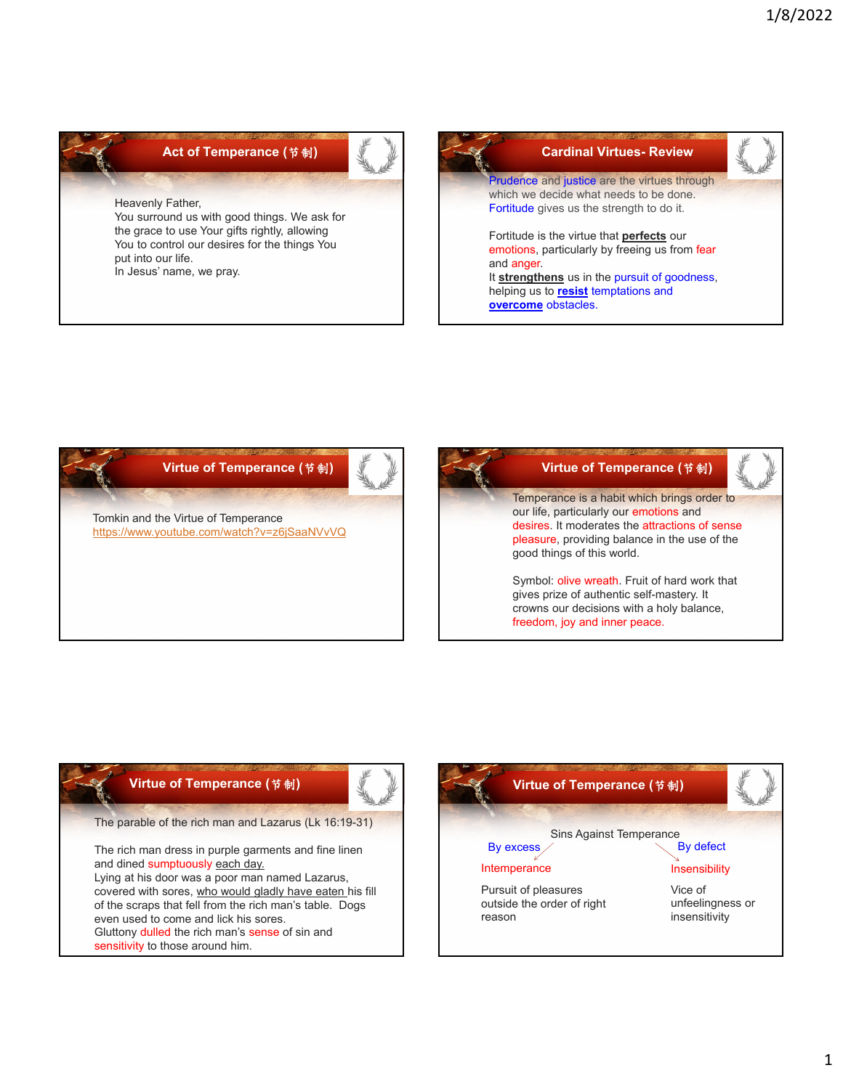## **Act of Temperance (**节制**)**



Heavenly Father,

You surround us with good things. We ask for the grace to use Your gifts rightly, allowing You to control our desires for the things You put into our life. In Jesus' name, we pray.